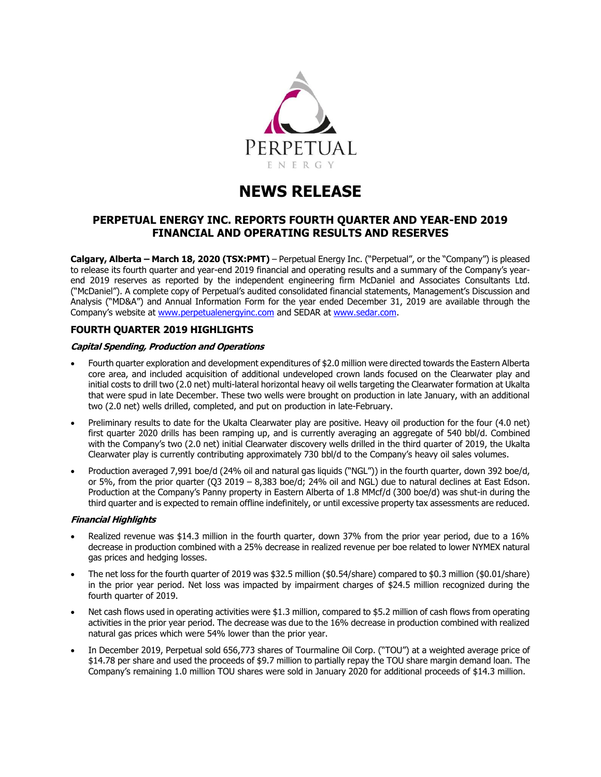

# **NEWS RELEASE**

# **PERPETUAL ENERGY INC. REPORTS FOURTH QUARTER AND YEAR-END 2019 FINANCIAL AND OPERATING RESULTS AND RESERVES**

**Calgary, Alberta – March 18, 2020 (TSX:PMT)** – Perpetual Energy Inc. ("Perpetual", or the "Company") is pleased to release its fourth quarter and year-end 2019 financial and operating results and a summary of the Company's yearend 2019 reserves as reported by the independent engineering firm McDaniel and Associates Consultants Ltd. ("McDaniel"). A complete copy of Perpetual's audited consolidated financial statements, Management's Discussion and Analysis ("MD&A") and Annual Information Form for the year ended December 31, 2019 are available through the Company's website at [www.perpetualenergyinc.com](http://www.perpetualenergyinc.com/) and SEDAR at [www.sedar.com.](http://www.sedar.com/)

# **FOURTH QUARTER 2019 HIGHLIGHTS**

## **Capital Spending, Production and Operations**

- Fourth quarter exploration and development expenditures of \$2.0 million were directed towards the Eastern Alberta core area, and included acquisition of additional undeveloped crown lands focused on the Clearwater play and initial costs to drill two (2.0 net) multi-lateral horizontal heavy oil wells targeting the Clearwater formation at Ukalta that were spud in late December. These two wells were brought on production in late January, with an additional two (2.0 net) wells drilled, completed, and put on production in late-February.
- Preliminary results to date for the Ukalta Clearwater play are positive. Heavy oil production for the four (4.0 net) first quarter 2020 drills has been ramping up, and is currently averaging an aggregate of 540 bbl/d. Combined with the Company's two (2.0 net) initial Clearwater discovery wells drilled in the third quarter of 2019, the Ukalta Clearwater play is currently contributing approximately 730 bbl/d to the Company's heavy oil sales volumes.
- Production averaged 7,991 boe/d (24% oil and natural gas liquids ("NGL")) in the fourth quarter, down 392 boe/d, or 5%, from the prior quarter (Q3 2019 – 8,383 boe/d; 24% oil and NGL) due to natural declines at East Edson. Production at the Company's Panny property in Eastern Alberta of 1.8 MMcf/d (300 boe/d) was shut-in during the third quarter and is expected to remain offline indefinitely, or until excessive property tax assessments are reduced.

## **Financial Highlights**

- Realized revenue was \$14.3 million in the fourth quarter, down 37% from the prior year period, due to a 16% decrease in production combined with a 25% decrease in realized revenue per boe related to lower NYMEX natural gas prices and hedging losses.
- The net loss for the fourth quarter of 2019 was \$32.5 million (\$0.54/share) compared to \$0.3 million (\$0.01/share) in the prior year period. Net loss was impacted by impairment charges of \$24.5 million recognized during the fourth quarter of 2019.
- Net cash flows used in operating activities were \$1.3 million, compared to \$5.2 million of cash flows from operating activities in the prior year period. The decrease was due to the 16% decrease in production combined with realized natural gas prices which were 54% lower than the prior year.
- In December 2019, Perpetual sold 656,773 shares of Tourmaline Oil Corp. ("TOU") at a weighted average price of \$14.78 per share and used the proceeds of \$9.7 million to partially repay the TOU share margin demand loan. The Company's remaining 1.0 million TOU shares were sold in January 2020 for additional proceeds of \$14.3 million.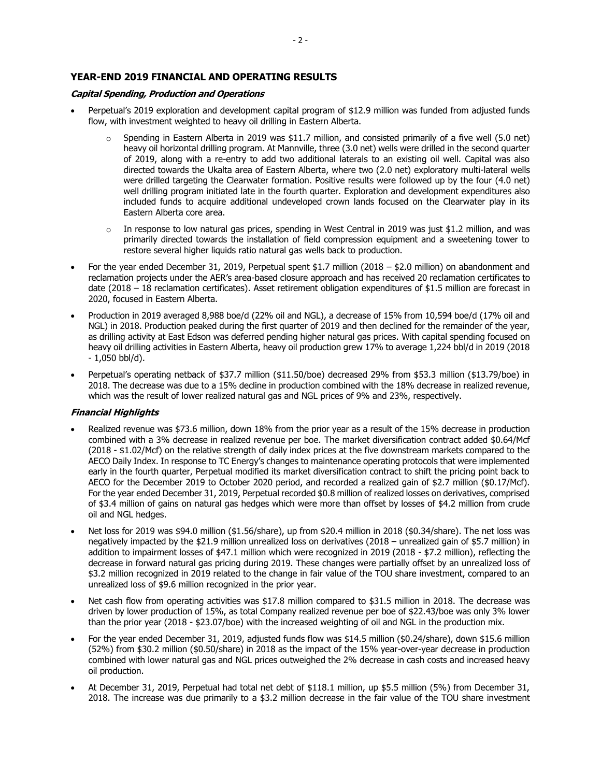# **YEAR-END 2019 FINANCIAL AND OPERATING RESULTS**

## **Capital Spending, Production and Operations**

- Perpetual's 2019 exploration and development capital program of \$12.9 million was funded from adjusted funds flow, with investment weighted to heavy oil drilling in Eastern Alberta.
	- $\circ$  Spending in Eastern Alberta in 2019 was \$11.7 million, and consisted primarily of a five well (5.0 net) heavy oil horizontal drilling program. At Mannville, three (3.0 net) wells were drilled in the second quarter of 2019, along with a re-entry to add two additional laterals to an existing oil well. Capital was also directed towards the Ukalta area of Eastern Alberta, where two (2.0 net) exploratory multi-lateral wells were drilled targeting the Clearwater formation. Positive results were followed up by the four (4.0 net) well drilling program initiated late in the fourth quarter. Exploration and development expenditures also included funds to acquire additional undeveloped crown lands focused on the Clearwater play in its Eastern Alberta core area.
	- $\circ$  In response to low natural gas prices, spending in West Central in 2019 was just \$1.2 million, and was primarily directed towards the installation of field compression equipment and a sweetening tower to restore several higher liquids ratio natural gas wells back to production.
- For the year ended December 31, 2019, Perpetual spent \$1.7 million (2018 \$2.0 million) on abandonment and reclamation projects under the AER's area-based closure approach and has received 20 reclamation certificates to date (2018 – 18 reclamation certificates). Asset retirement obligation expenditures of \$1.5 million are forecast in 2020, focused in Eastern Alberta.
- Production in 2019 averaged 8,988 boe/d (22% oil and NGL), a decrease of 15% from 10,594 boe/d (17% oil and NGL) in 2018. Production peaked during the first quarter of 2019 and then declined for the remainder of the year, as drilling activity at East Edson was deferred pending higher natural gas prices. With capital spending focused on heavy oil drilling activities in Eastern Alberta, heavy oil production grew 17% to average 1,224 bbl/d in 2019 (2018 - 1,050 bbl/d).
- Perpetual's operating netback of \$37.7 million (\$11.50/boe) decreased 29% from \$53.3 million (\$13.79/boe) in 2018. The decrease was due to a 15% decline in production combined with the 18% decrease in realized revenue, which was the result of lower realized natural gas and NGL prices of 9% and 23%, respectively.

## **Financial Highlights**

- Realized revenue was \$73.6 million, down 18% from the prior year as a result of the 15% decrease in production combined with a 3% decrease in realized revenue per boe. The market diversification contract added \$0.64/Mcf (2018 - \$1.02/Mcf) on the relative strength of daily index prices at the five downstream markets compared to the AECO Daily Index. In response to TC Energy's changes to maintenance operating protocols that were implemented early in the fourth quarter, Perpetual modified its market diversification contract to shift the pricing point back to AECO for the December 2019 to October 2020 period, and recorded a realized gain of \$2.7 million (\$0.17/Mcf). For the year ended December 31, 2019, Perpetual recorded \$0.8 million of realized losses on derivatives, comprised of \$3.4 million of gains on natural gas hedges which were more than offset by losses of \$4.2 million from crude oil and NGL hedges.
- Net loss for 2019 was \$94.0 million (\$1.56/share), up from \$20.4 million in 2018 (\$0.34/share). The net loss was negatively impacted by the \$21.9 million unrealized loss on derivatives (2018 – unrealized gain of \$5.7 million) in addition to impairment losses of \$47.1 million which were recognized in 2019 (2018 - \$7.2 million), reflecting the decrease in forward natural gas pricing during 2019. These changes were partially offset by an unrealized loss of \$3.2 million recognized in 2019 related to the change in fair value of the TOU share investment, compared to an unrealized loss of \$9.6 million recognized in the prior year.
- Net cash flow from operating activities was \$17.8 million compared to \$31.5 million in 2018. The decrease was driven by lower production of 15%, as total Company realized revenue per boe of \$22.43/boe was only 3% lower than the prior year (2018 - \$23.07/boe) with the increased weighting of oil and NGL in the production mix.
- For the year ended December 31, 2019, adjusted funds flow was \$14.5 million (\$0.24/share), down \$15.6 million (52%) from \$30.2 million (\$0.50/share) in 2018 as the impact of the 15% year-over-year decrease in production combined with lower natural gas and NGL prices outweighed the 2% decrease in cash costs and increased heavy oil production.
- At December 31, 2019, Perpetual had total net debt of \$118.1 million, up \$5.5 million (5%) from December 31, 2018. The increase was due primarily to a \$3.2 million decrease in the fair value of the TOU share investment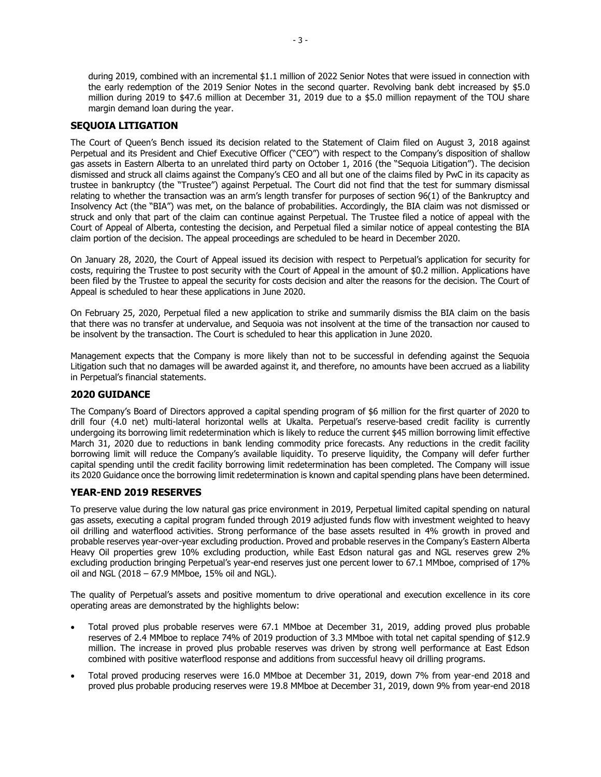during 2019, combined with an incremental \$1.1 million of 2022 Senior Notes that were issued in connection with the early redemption of the 2019 Senior Notes in the second quarter. Revolving bank debt increased by \$5.0 million during 2019 to \$47.6 million at December 31, 2019 due to a \$5.0 million repayment of the TOU share margin demand loan during the year.

# **SEQUOIA LITIGATION**

The Court of Queen's Bench issued its decision related to the Statement of Claim filed on August 3, 2018 against Perpetual and its President and Chief Executive Officer ("CEO") with respect to the Company's disposition of shallow gas assets in Eastern Alberta to an unrelated third party on October 1, 2016 (the "Sequoia Litigation"). The decision dismissed and struck all claims against the Company's CEO and all but one of the claims filed by PwC in its capacity as trustee in bankruptcy (the "Trustee") against Perpetual. The Court did not find that the test for summary dismissal relating to whether the transaction was an arm's length transfer for purposes of section 96(1) of the Bankruptcy and Insolvency Act (the "BIA") was met, on the balance of probabilities. Accordingly, the BIA claim was not dismissed or struck and only that part of the claim can continue against Perpetual. The Trustee filed a notice of appeal with the Court of Appeal of Alberta, contesting the decision, and Perpetual filed a similar notice of appeal contesting the BIA claim portion of the decision. The appeal proceedings are scheduled to be heard in December 2020.

On January 28, 2020, the Court of Appeal issued its decision with respect to Perpetual's application for security for costs, requiring the Trustee to post security with the Court of Appeal in the amount of \$0.2 million. Applications have been filed by the Trustee to appeal the security for costs decision and alter the reasons for the decision. The Court of Appeal is scheduled to hear these applications in June 2020.

On February 25, 2020, Perpetual filed a new application to strike and summarily dismiss the BIA claim on the basis that there was no transfer at undervalue, and Sequoia was not insolvent at the time of the transaction nor caused to be insolvent by the transaction. The Court is scheduled to hear this application in June 2020.

Management expects that the Company is more likely than not to be successful in defending against the Sequoia Litigation such that no damages will be awarded against it, and therefore, no amounts have been accrued as a liability in Perpetual's financial statements.

## **2020 GUIDANCE**

The Company's Board of Directors approved a capital spending program of \$6 million for the first quarter of 2020 to drill four (4.0 net) multi-lateral horizontal wells at Ukalta. Perpetual's reserve-based credit facility is currently undergoing its borrowing limit redetermination which is likely to reduce the current \$45 million borrowing limit effective March 31, 2020 due to reductions in bank lending commodity price forecasts. Any reductions in the credit facility borrowing limit will reduce the Company's available liquidity. To preserve liquidity, the Company will defer further capital spending until the credit facility borrowing limit redetermination has been completed. The Company will issue its 2020 Guidance once the borrowing limit redetermination is known and capital spending plans have been determined.

## **YEAR-END 2019 RESERVES**

To preserve value during the low natural gas price environment in 2019, Perpetual limited capital spending on natural gas assets, executing a capital program funded through 2019 adjusted funds flow with investment weighted to heavy oil drilling and waterflood activities. Strong performance of the base assets resulted in 4% growth in proved and probable reserves year-over-year excluding production. Proved and probable reserves in the Company's Eastern Alberta Heavy Oil properties grew 10% excluding production, while East Edson natural gas and NGL reserves grew 2% excluding production bringing Perpetual's year-end reserves just one percent lower to 67.1 MMboe, comprised of 17% oil and NGL (2018 – 67.9 MMboe, 15% oil and NGL).

The quality of Perpetual's assets and positive momentum to drive operational and execution excellence in its core operating areas are demonstrated by the highlights below:

- Total proved plus probable reserves were 67.1 MMboe at December 31, 2019, adding proved plus probable reserves of 2.4 MMboe to replace 74% of 2019 production of 3.3 MMboe with total net capital spending of \$12.9 million. The increase in proved plus probable reserves was driven by strong well performance at East Edson combined with positive waterflood response and additions from successful heavy oil drilling programs.
- Total proved producing reserves were 16.0 MMboe at December 31, 2019, down 7% from year-end 2018 and proved plus probable producing reserves were 19.8 MMboe at December 31, 2019, down 9% from year-end 2018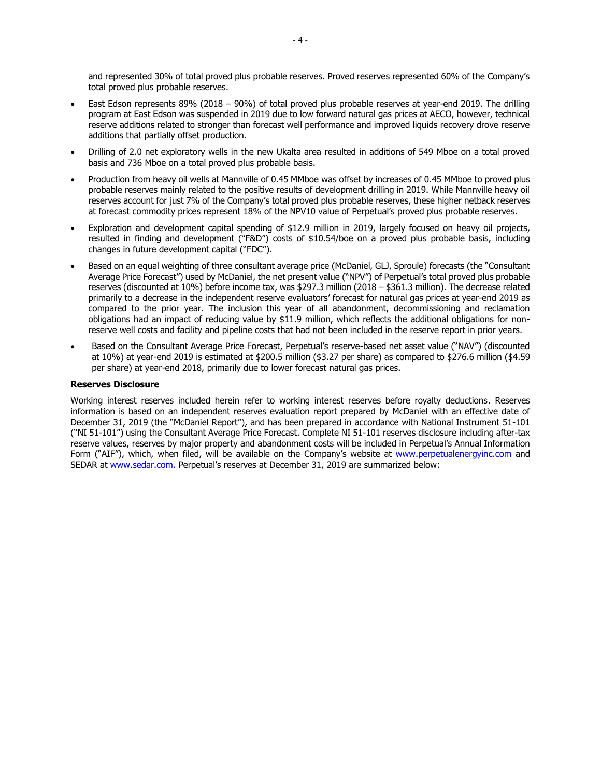and represented 30% of total proved plus probable reserves. Proved reserves represented 60% of the Company's total proved plus probable reserves.

- East Edson represents 89% (2018 90%) of total proved plus probable reserves at year-end 2019. The drilling program at East Edson was suspended in 2019 due to low forward natural gas prices at AECO, however, technical reserve additions related to stronger than forecast well performance and improved liquids recovery drove reserve additions that partially offset production.
- Drilling of 2.0 net exploratory wells in the new Ukalta area resulted in additions of 549 Mboe on a total proved basis and 736 Mboe on a total proved plus probable basis.
- Production from heavy oil wells at Mannville of 0.45 MMboe was offset by increases of 0.45 MMboe to proved plus probable reserves mainly related to the positive results of development drilling in 2019. While Mannville heavy oil reserves account for just 7% of the Company's total proved plus probable reserves, these higher netback reserves at forecast commodity prices represent 18% of the NPV10 value of Perpetual's proved plus probable reserves.
- Exploration and development capital spending of \$12.9 million in 2019, largely focused on heavy oil projects, resulted in finding and development ("F&D") costs of \$10.54/boe on a proved plus probable basis, including changes in future development capital ("FDC").
- Based on an equal weighting of three consultant average price (McDaniel, GLJ, Sproule) forecasts (the "Consultant Average Price Forecast") used by McDaniel, the net present value ("NPV") of Perpetual's total proved plus probable reserves (discounted at 10%) before income tax, was \$297.3 million (2018 – \$361.3 million). The decrease related primarily to a decrease in the independent reserve evaluators' forecast for natural gas prices at year-end 2019 as compared to the prior year. The inclusion this year of all abandonment, decommissioning and reclamation obligations had an impact of reducing value by \$11.9 million, which reflects the additional obligations for nonreserve well costs and facility and pipeline costs that had not been included in the reserve report in prior years.
- Based on the Consultant Average Price Forecast, Perpetual's reserve-based net asset value ("NAV") (discounted at 10%) at year-end 2019 is estimated at \$200.5 million (\$3.27 per share) as compared to \$276.6 million (\$4.59 per share) at year-end 2018, primarily due to lower forecast natural gas prices.

## **Reserves Disclosure**

Working interest reserves included herein refer to working interest reserves before royalty deductions. Reserves information is based on an independent reserves evaluation report prepared by McDaniel with an effective date of December 31, 2019 (the "McDaniel Report"), and has been prepared in accordance with National Instrument 51-101 ("NI 51-101") using the Consultant Average Price Forecast. Complete NI 51-101 reserves disclosure including after-tax reserve values, reserves by major property and abandonment costs will be included in Perpetual's Annual Information Form ("AIF"), which, when filed, will be available on the Company's website at [www.perpetualenergyinc.com](http://www.perpetualenergyinc.com/) and SEDAR at [www.sedar.com.](http://www.sedar.com/) Perpetual's reserves at December 31, 2019 are summarized below: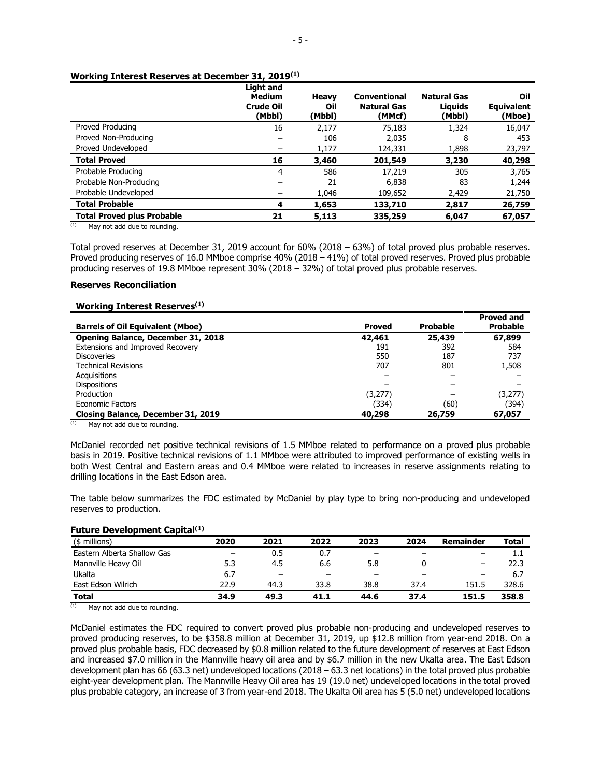#### **Working Interest Reserves at December 31, 2019(1)**

|                                   | Light and<br><b>Medium</b><br><b>Crude Oil</b><br>(Mbbl) | <b>Heavy</b><br>Oil<br>(Mbbl) | <b>Conventional</b><br><b>Natural Gas</b><br>(MMcf) | Natural Gas<br>Liauids<br>(Mbbl) | Oil<br><b>Equivalent</b><br>(Mboe) |
|-----------------------------------|----------------------------------------------------------|-------------------------------|-----------------------------------------------------|----------------------------------|------------------------------------|
| Proved Producing                  | 16                                                       | 2,177                         | 75,183                                              | 1,324                            | 16,047                             |
| Proved Non-Producing              |                                                          | 106                           | 2,035                                               | 8                                | 453                                |
| Proved Undeveloped                |                                                          | 1,177                         | 124,331                                             | 1,898                            | 23,797                             |
| <b>Total Proved</b>               | 16                                                       | 3,460                         | 201,549                                             | 3,230                            | 40,298                             |
| Probable Producing                | 4                                                        | 586                           | 17,219                                              | 305                              | 3,765                              |
| Probable Non-Producing            |                                                          | 21                            | 6,838                                               | 83                               | 1,244                              |
| Probable Undeveloped              |                                                          | 1,046                         | 109,652                                             | 2,429                            | 21,750                             |
| <b>Total Probable</b>             | 4                                                        | 1,653                         | 133,710                                             | 2,817                            | 26,759                             |
| <b>Total Proved plus Probable</b> | 21                                                       | 5,113                         | 335,259                                             | 6,047                            | 67,057                             |

 $(1)$  May not add due to rounding.

Total proved reserves at December 31, 2019 account for 60% (2018 – 63%) of total proved plus probable reserves. Proved producing reserves of 16.0 MMboe comprise 40% (2018 – 41%) of total proved reserves. Proved plus probable producing reserves of 19.8 MMboe represent 30% (2018 – 32%) of total proved plus probable reserves.

## **Reserves Reconciliation**

## **Working Interest Reserves(1)**

|                                         |               |                 | <b>Proved and</b> |
|-----------------------------------------|---------------|-----------------|-------------------|
| <b>Barrels of Oil Equivalent (Mboe)</b> | <b>Proved</b> | <b>Probable</b> | <b>Probable</b>   |
| Opening Balance, December 31, 2018      | 42,461        | 25,439          | 67,899            |
| Extensions and Improved Recovery        | 191           | 392             | 584               |
| <b>Discoveries</b>                      | 550           | 187             | 737               |
| <b>Technical Revisions</b>              | 707           | 801             | 1,508             |
| Acquisitions                            |               |                 |                   |
| <b>Dispositions</b>                     |               |                 |                   |
| Production                              | (3,277)       |                 | (3,277)           |
| <b>Economic Factors</b>                 | (334)         | (60)            | (394)             |
| Closing Balance, December 31, 2019      | 40,298        | 26,759          | 67,057            |

 $(1)$  May not add due to rounding.

McDaniel recorded net positive technical revisions of 1.5 MMboe related to performance on a proved plus probable basis in 2019. Positive technical revisions of 1.1 MMboe were attributed to improved performance of existing wells in both West Central and Eastern areas and 0.4 MMboe were related to increases in reserve assignments relating to drilling locations in the East Edson area.

The table below summarizes the FDC estimated by McDaniel by play type to bring non-producing and undeveloped reserves to production.

#### **Future Development Capital(1)**

| (\$ millions)               | 2020                     | 2021                     | 2022 | 2023 | 2024                     | Remainder | <b>Total</b> |
|-----------------------------|--------------------------|--------------------------|------|------|--------------------------|-----------|--------------|
| Eastern Alberta Shallow Gas | $\overline{\phantom{0}}$ | 0.5                      | 0.7  | -    | $\overline{\phantom{0}}$ |           | 1.1          |
| Mannville Heavy Oil         | 5.3                      | 4.5                      | 6.6  | 5.8  |                          |           | 22.3         |
| Ukalta                      | 6.7                      | $\overline{\phantom{0}}$ | -    |      | -                        |           | 6.7          |
| East Edson Wilrich          | 22.9                     | 44.3                     | 33.8 | 38.8 | 37.4                     | 151.5     | 328.6        |
| <b>Total</b><br>$\sim$      | 34.9                     | 49.3                     | 41.1 | 44.6 | 37.4                     | 151.5     | 358.8        |

 $(1)$  May not add due to rounding.

McDaniel estimates the FDC required to convert proved plus probable non-producing and undeveloped reserves to proved producing reserves, to be \$358.8 million at December 31, 2019, up \$12.8 million from year-end 2018. On a proved plus probable basis, FDC decreased by \$0.8 million related to the future development of reserves at East Edson and increased \$7.0 million in the Mannville heavy oil area and by \$6.7 million in the new Ukalta area. The East Edson development plan has 66 (63.3 net) undeveloped locations (2018 – 63.3 net locations) in the total proved plus probable eight-year development plan. The Mannville Heavy Oil area has 19 (19.0 net) undeveloped locations in the total proved plus probable category, an increase of 3 from year-end 2018. The Ukalta Oil area has 5 (5.0 net) undeveloped locations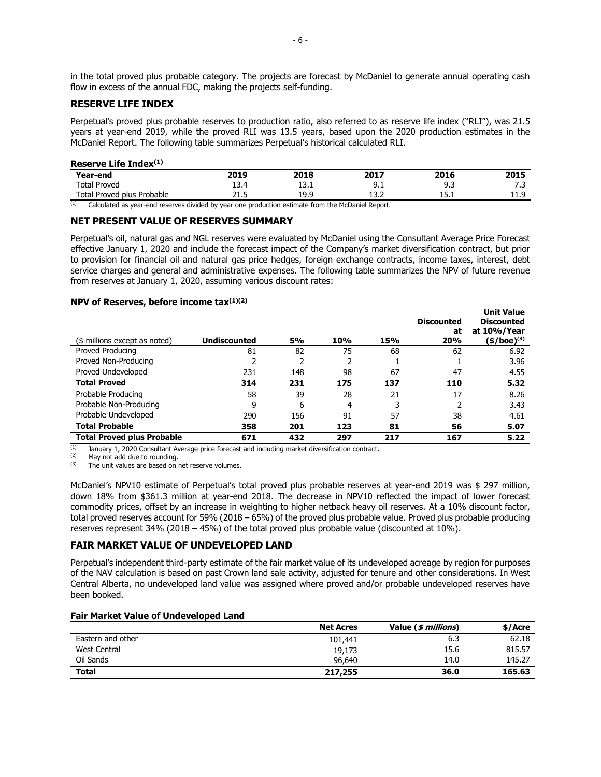in the total proved plus probable category. The projects are forecast by McDaniel to generate annual operating cash flow in excess of the annual FDC, making the projects self-funding.

## **RESERVE LIFE INDEX**

Perpetual's proved plus probable reserves to production ratio, also referred to as reserve life index ("RLI"), was 21.5 years at year-end 2019, while the proved RLI was 13.5 years, based upon the 2020 production estimates in the McDaniel Report. The following table summarizes Perpetual's historical calculated RLI.

#### **Reserve Life Index(1)**

| Year-end                                                                                                 | 2019 | 2018 | 2017 | 2016 | 2015  |
|----------------------------------------------------------------------------------------------------------|------|------|------|------|-------|
| <b>Total Proved</b>                                                                                      |      | ᅩᆚᆞ  | フ・エ  | : פ  | . . - |
| Total Proved plus Probable                                                                               |      | 19.9 | ∸∸⊷  |      | .     |
| (1)<br>Calculated as year-end reserves divided by year one production estimate from the McDaniel Report. |      |      |      |      |       |

## **NET PRESENT VALUE OF RESERVES SUMMARY**

Perpetual's oil, natural gas and NGL reserves were evaluated by McDaniel using the Consultant Average Price Forecast effective January 1, 2020 and include the forecast impact of the Company's market diversification contract, but prior to provision for financial oil and natural gas price hedges, foreign exchange contracts, income taxes, interest, debt service charges and general and administrative expenses. The following table summarizes the NPV of future revenue from reserves at January 1, 2020, assuming various discount rates:

**Unit Value** 

#### **NPV of Reserves, before income tax(1)(2)**

| (\$ millions except as noted)     | <b>Undiscounted</b> | <b>5%</b> | 10% | 15% | <b>Discounted</b><br>at<br>20% | unit value<br><b>Discounted</b><br>at 10%/Year<br>(\$/boe) <sup>(3)</sup> |
|-----------------------------------|---------------------|-----------|-----|-----|--------------------------------|---------------------------------------------------------------------------|
| Proved Producing                  | 81                  | 82        | 75  | 68  | 62                             | 6.92                                                                      |
| Proved Non-Producing              |                     | 2         |     |     |                                | 3.96                                                                      |
| Proved Undeveloped                | 231                 | 148       | 98  | 67  | 47                             | 4.55                                                                      |
| <b>Total Proved</b>               | 314                 | 231       | 175 | 137 | 110                            | 5.32                                                                      |
| Probable Producing                | 58                  | 39        | 28  | 21  | 17                             | 8.26                                                                      |
| Probable Non-Producing            | 9                   | 6         | 4   | 3   |                                | 3.43                                                                      |
| Probable Undeveloped              | 290                 | 156       | 91  | 57  | 38                             | 4.61                                                                      |
| <b>Total Probable</b>             | 358                 | 201       | 123 | 81  | 56                             | 5.07                                                                      |
| <b>Total Proved plus Probable</b> | 671                 | 432       | 297 | 217 | 167                            | 5.22                                                                      |

(1) January 1, 2020 Consultant Average price forecast and including market diversification contract.<br>(2) May not add due to rounding

 $(2)$  May not add due to rounding.<br> $(3)$  The unit values are based on

The unit values are based on net reserve volumes.

McDaniel's NPV10 estimate of Perpetual's total proved plus probable reserves at year-end 2019 was \$ 297 million, down 18% from \$361.3 million at year-end 2018. The decrease in NPV10 reflected the impact of lower forecast commodity prices, offset by an increase in weighting to higher netback heavy oil reserves. At a 10% discount factor, total proved reserves account for 59% (2018 – 65%) of the proved plus probable value. Proved plus probable producing reserves represent 34% (2018 – 45%) of the total proved plus probable value (discounted at 10%).

## **FAIR MARKET VALUE OF UNDEVELOPED LAND**

Perpetual's independent third-party estimate of the fair market value of its undeveloped acreage by region for purposes of the NAV calculation is based on past Crown land sale activity, adjusted for tenure and other considerations. In West Central Alberta, no undeveloped land value was assigned where proved and/or probable undeveloped reserves have been booked.

#### **Fair Market Value of Undeveloped Land**

|                   | <b>Net Acres</b> | Value ( <i>\$ millions</i> ) | \$/Acre |
|-------------------|------------------|------------------------------|---------|
| Eastern and other | 101,441          | 6.3                          | 62.18   |
| West Central      | 19,173           | 15.6                         | 815.57  |
| Oil Sands         | 96,640           | 14.0                         | 145.27  |
| <b>Total</b>      | 217,255          | 36.0                         | 165.63  |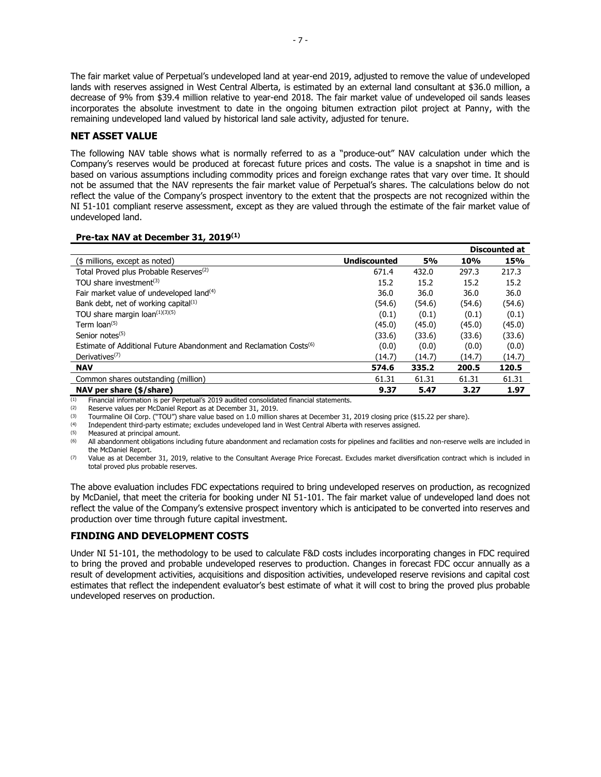The fair market value of Perpetual's undeveloped land at year-end 2019, adjusted to remove the value of undeveloped lands with reserves assigned in West Central Alberta, is estimated by an external land consultant at \$36.0 million, a decrease of 9% from \$39.4 million relative to year-end 2018. The fair market value of undeveloped oil sands leases incorporates the absolute investment to date in the ongoing bitumen extraction pilot project at Panny, with the remaining undeveloped land valued by historical land sale activity, adjusted for tenure.

## **NET ASSET VALUE**

The following NAV table shows what is normally referred to as a "produce-out" NAV calculation under which the Company's reserves would be produced at forecast future prices and costs. The value is a snapshot in time and is based on various assumptions including commodity prices and foreign exchange rates that vary over time. It should not be assumed that the NAV represents the fair market value of Perpetual's shares. The calculations below do not reflect the value of the Company's prospect inventory to the extent that the prospects are not recognized within the NI 51-101 compliant reserve assessment, except as they are valued through the estimate of the fair market value of undeveloped land.

## **Pre-tax NAV at December 31, 2019(1)**

|                                                                                |                     |           |        | <b>Discounted at</b> |
|--------------------------------------------------------------------------------|---------------------|-----------|--------|----------------------|
| (\$ millions, except as noted)                                                 | <b>Undiscounted</b> | <b>5%</b> | 10%    | 15%                  |
| Total Proved plus Probable Reserves <sup>(2)</sup>                             | 671.4               | 432.0     | 297.3  | 217.3                |
| TOU share investment <sup>(3)</sup>                                            | 15.2                | 15.2      | 15.2   | 15.2                 |
| Fair market value of undeveloped land <sup>(4)</sup>                           | 36.0                | 36.0      | 36.0   | 36.0                 |
| Bank debt, net of working capital $(1)$                                        | (54.6)              | (54.6)    | (54.6) | (54.6)               |
| TOU share margin loan <sup>(1)(3)(5)</sup>                                     | (0.1)               | (0.1)     | (0.1)  | (0.1)                |
| Term $\text{loan}^{(5)}$                                                       | (45.0)              | (45.0)    | (45.0) | (45.0)               |
| Senior notes $(5)$                                                             | (33.6)              | (33.6)    | (33.6) | (33.6)               |
| Estimate of Additional Future Abandonment and Reclamation Costs <sup>(6)</sup> | (0.0)               | (0.0)     | (0.0)  | (0.0)                |
| Derivatives <sup><math>(7)</math></sup>                                        | (14.7)              | (14.7)    | (14.7) | (14.7)               |
| <b>NAV</b>                                                                     | 574.6               | 335.2     | 200.5  | 120.5                |
| Common shares outstanding (million)                                            | 61.31               | 61.31     | 61.31  | 61.31                |
| NAV per share (\$/share)                                                       | 9.37                | 5.47      | 3.27   | 1.97                 |

(1) Financial information is per Perpetual's 2019 audited consolidated financial statements.<br>(2) Beserve values per McDaniel Report as at December 31, 2019

Reserve values per McDaniel Report as at December 31, 2019.

(3) Tourmaline Oil Corp. ("TOU") share value based on 1.0 million shares at December 31, 2019 closing price (\$15.22 per share).<br>(4) Independent third-party estimate: excludes undeveloped land in West Central Alberta with r

(4) Independent third-party estimate; excludes undeveloped land in West Central Alberta with reserves assigned.

 $(5)$  Measured at principal amount.<br> $(6)$  All abandonment obligations in

(6) All abandonment obligations including future abandonment and reclamation costs for pipelines and facilities and non-reserve wells are included in the McDaniel Report.

(7) Value as at December 31, 2019, relative to the Consultant Average Price Forecast. Excludes market diversification contract which is included in total proved plus probable reserves.

The above evaluation includes FDC expectations required to bring undeveloped reserves on production, as recognized by McDaniel, that meet the criteria for booking under NI 51-101. The fair market value of undeveloped land does not reflect the value of the Company's extensive prospect inventory which is anticipated to be converted into reserves and production over time through future capital investment.

# **FINDING AND DEVELOPMENT COSTS**

Under NI 51-101, the methodology to be used to calculate F&D costs includes incorporating changes in FDC required to bring the proved and probable undeveloped reserves to production. Changes in forecast FDC occur annually as a result of development activities, acquisitions and disposition activities, undeveloped reserve revisions and capital cost estimates that reflect the independent evaluator's best estimate of what it will cost to bring the proved plus probable undeveloped reserves on production.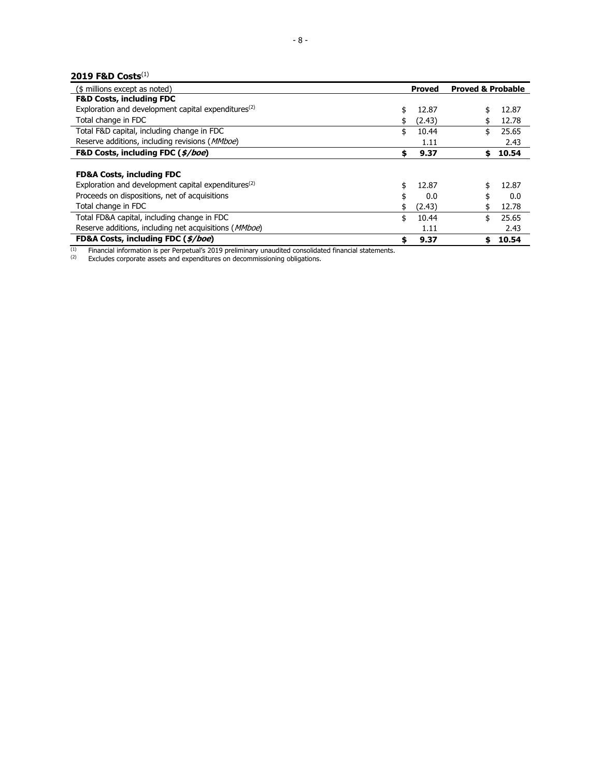# **2019 F&D Costs**(1)

| (\$ millions except as noted)                                   |    | <b>Proved</b> | <b>Proved &amp; Probable</b> |       |
|-----------------------------------------------------------------|----|---------------|------------------------------|-------|
| <b>F&amp;D Costs, including FDC</b>                             |    |               |                              |       |
| Exploration and development capital expenditures <sup>(2)</sup> | \$ | 12.87         |                              | 12.87 |
| Total change in FDC                                             |    | (2.43)        |                              | 12.78 |
| Total F&D capital, including change in FDC                      | \$ | 10.44         | \$                           | 25.65 |
| Reserve additions, including revisions ( <i>MMboe</i> )         |    | 1.11          |                              | 2.43  |
| F&D Costs, including FDC (\$/boe)                               | \$ | 9.37          | \$                           | 10.54 |
| <b>FD&amp;A Costs, including FDC</b>                            |    |               |                              |       |
| Exploration and development capital expenditures <sup>(2)</sup> | \$ | 12.87         | \$                           | 12.87 |
| Proceeds on dispositions, net of acquisitions                   |    | 0.0           |                              | 0.0   |
| Total change in FDC                                             |    | (2.43)        |                              | 12.78 |
| Total FD&A capital, including change in FDC                     | \$ | 10.44         | \$                           | 25.65 |
| Reserve additions, including net acquisitions (MMboe)           |    | 1.11          |                              | 2.43  |
| FD&A Costs, including FDC (\$/boe)                              | S  | 9.37          | S                            | 10.54 |

<sup>(1)</sup> Financial information is per Perpetual's 2019 preliminary unaudited consolidated financial statements.<br><sup>(2)</sup> Excludes corporate assets and expenditures on decommissioning obligations.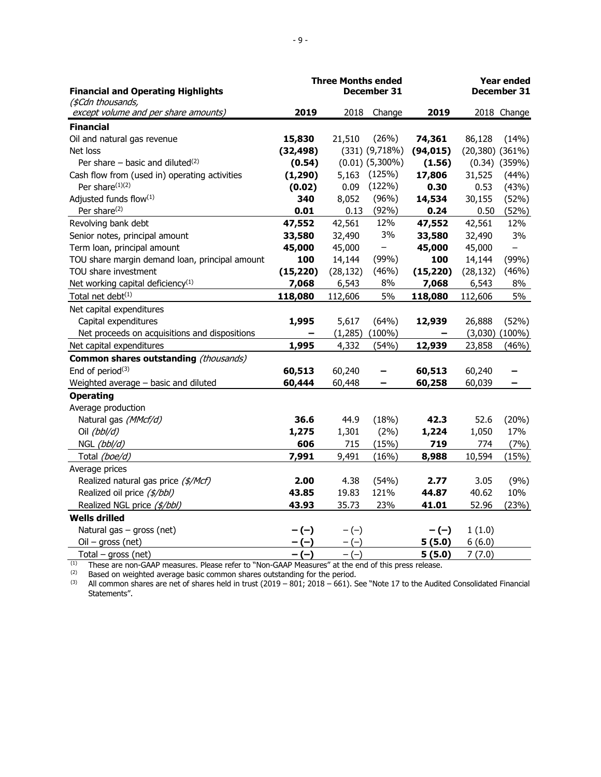| <b>Financial and Operating Highlights</b>                 |           | <b>Three Months ended</b> | December 31          |           |                      | <b>Year ended</b><br>December 31 |
|-----------------------------------------------------------|-----------|---------------------------|----------------------|-----------|----------------------|----------------------------------|
| (\$Cdn thousands,<br>except volume and per share amounts) | 2019      | 2018                      | Change               | 2019      |                      | 2018 Change                      |
| <b>Financial</b>                                          |           |                           |                      |           |                      |                                  |
| Oil and natural gas revenue                               | 15,830    | 21,510                    | (26%)                | 74,361    | 86,128               | (14%)                            |
| Net loss                                                  | (32, 498) |                           | $(331)$ $(9,718%)$   | (94, 015) | $(20,380)$ $(361\%)$ |                                  |
| Per share $-$ basic and diluted <sup>(2)</sup>            | (0.54)    |                           | $(0.01)$ $(5,300\%)$ | (1.56)    |                      | $(0.34)$ $(359%)$                |
| Cash flow from (used in) operating activities             | (1, 290)  | 5,163                     | (125%)               | 17,806    | 31,525               | (44%)                            |
| Per share <sup>(1)(2)</sup>                               | (0.02)    | 0.09                      | (122%)               | 0.30      | 0.53                 | (43%)                            |
| Adjusted funds flow(1)                                    | 340       | 8,052                     | (96%)                | 14,534    | 30,155               | (52%)                            |
| Per share <sup>(2)</sup>                                  | 0.01      | 0.13                      | (92%)                | 0.24      | 0.50                 | (52%)                            |
| Revolving bank debt                                       | 47,552    | 42,561                    | 12%                  | 47,552    | 42,561               | 12%                              |
| Senior notes, principal amount                            | 33,580    | 32,490                    | 3%                   | 33,580    | 32,490               | 3%                               |
| Term loan, principal amount                               | 45,000    | 45,000                    | $\qquad \qquad -$    | 45,000    | 45,000               | $\overline{\phantom{0}}$         |
| TOU share margin demand loan, principal amount            | 100       | 14,144                    | (99%)                | 100       | 14,144               | (99%)                            |
| TOU share investment                                      | (15, 220) | (28, 132)                 | (46%)                | (15, 220) | (28, 132)            | (46%)                            |
| Net working capital deficiency <sup>(1)</sup>             | 7,068     | 6,543                     | 8%                   | 7,068     | 6,543                | 8%                               |
| Total net debt <sup>(1)</sup>                             | 118,080   | 112,606                   | 5%                   | 118,080   | 112,606              | 5%                               |
| Net capital expenditures                                  |           |                           |                      |           |                      |                                  |
| Capital expenditures                                      | 1,995     | 5,617                     | (64%)                | 12,939    | 26,888               | (52%)                            |
| Net proceeds on acquisitions and dispositions             |           | (1, 285)                  | $(100\%)$            | -         | (3,030)              | $(100\%)$                        |
| Net capital expenditures                                  | 1,995     | 4,332                     | (54%)                | 12,939    | 23,858               | (46%)                            |
| Common shares outstanding (thousands)                     |           |                           |                      |           |                      |                                  |
| End of period $(3)$                                       | 60,513    | 60,240                    |                      | 60,513    | 60,240               |                                  |
| Weighted average - basic and diluted                      | 60,444    | 60,448                    |                      | 60,258    | 60,039               | -                                |
| <b>Operating</b>                                          |           |                           |                      |           |                      |                                  |
| Average production                                        |           |                           |                      |           |                      |                                  |
| Natural gas (MMcf/d)                                      | 36.6      | 44.9                      | (18%)                | 42.3      | 52.6                 | (20%)                            |
| Oil (bbl/d)                                               | 1,275     | 1,301                     | (2%)                 | 1,224     | 1,050                | 17%                              |
| NGL (bbl/d)                                               | 606       | 715                       | (15%)                | 719       | 774                  | (7%)                             |
| Total (boe/d)                                             | 7,991     | 9,491                     | (16%)                | 8,988     | 10,594               | (15%)                            |
| Average prices                                            |           |                           |                      |           |                      |                                  |
| Realized natural gas price (\$/Mcf)                       | 2.00      | 4.38                      | (54%)                | 2.77      | 3.05                 | (9%)                             |
| Realized oil price (\$/bbl)                               | 43.85     | 19.83                     | 121%                 | 44.87     | 40.62                | 10%                              |
| Realized NGL price (\$/bbl)                               | 43.93     | 35.73                     | 23%                  | 41.01     | 52.96                | (23%)                            |
| <b>Wells drilled</b>                                      |           |                           |                      |           |                      |                                  |
| Natural gas - gross (net)                                 | $-(-)$    | $-(-)$                    |                      | $-(-)$    | 1(1.0)               |                                  |
| $Oil - gross (net)$                                       | $-(-)$    | $-(-)$                    |                      | 5(5.0)    | 6(6.0)               |                                  |
| Total $-$ gross (net)                                     | $-(-)$    | $-(-)$                    |                      | 5(5.0)    | 7(7.0)               |                                  |

 $<sup>(1)</sup>$  These are non-GAAP measures. Please refer to "Non-GAAP Measures" at the end of this press release.</sup>

 $(2)$  Based on weighted average basic common shares outstanding for the period.

 $^{(3)}$  All common shares are net of shares held in trust (2019 – 801; 2018 – 661). See "Note 17 to the Audited Consolidated Financial Statements".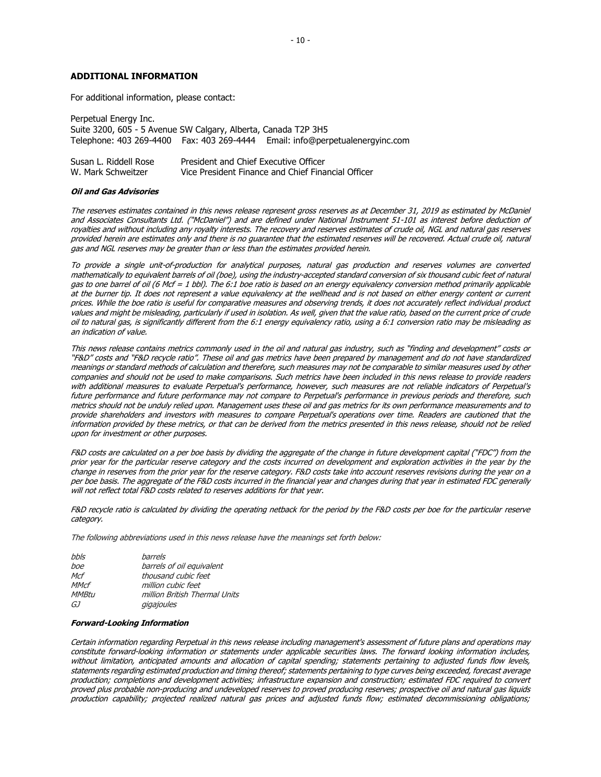#### **ADDITIONAL INFORMATION**

For additional information, please contact:

| Perpetual Energy Inc.                                          |                                                                                |
|----------------------------------------------------------------|--------------------------------------------------------------------------------|
| Suite 3200, 605 - 5 Avenue SW Calgary, Alberta, Canada T2P 3H5 |                                                                                |
|                                                                | Telephone: 403 269-4400  Fax: 403 269-4444  Email: info@perpetualenergyinc.com |

| Susan L. Riddell Rose | President and Chief Executive Officer              |
|-----------------------|----------------------------------------------------|
| W. Mark Schweitzer    | Vice President Finance and Chief Financial Officer |

#### **Oil and Gas Advisories**

The reserves estimates contained in this news release represent gross reserves as at December 31, 2019 as estimated by McDaniel and Associates Consultants Ltd. ("McDaniel") and are defined under National Instrument 51-101 as interest before deduction of royalties and without including any royalty interests. The recovery and reserves estimates of crude oil, NGL and natural gas reserves provided herein are estimates only and there is no guarantee that the estimated reserves will be recovered. Actual crude oil, natural gas and NGL reserves may be greater than or less than the estimates provided herein.

To provide a single unit-of-production for analytical purposes, natural gas production and reserves volumes are converted mathematically to equivalent barrels of oil (boe), using the industry-accepted standard conversion of six thousand cubic feet of natural gas to one barrel of oil (6 Mcf = 1 bbl). The 6:1 boe ratio is based on an energy equivalency conversion method primarily applicable at the burner tip. It does not represent a value equivalency at the wellhead and is not based on either energy content or current prices. While the boe ratio is useful for comparative measures and observing trends, it does not accurately reflect individual product values and might be misleading, particularly if used in isolation. As well, given that the value ratio, based on the current price of crude oil to natural gas, is significantly different from the 6:1 energy equivalency ratio, using a 6:1 conversion ratio may be misleading as an indication of value.

This news release contains metrics commonly used in the oil and natural gas industry, such as "finding and development" costs or "F&D" costs and "F&D recycle ratio". These oil and gas metrics have been prepared by management and do not have standardized meanings or standard methods of calculation and therefore, such measures may not be comparable to similar measures used by other companies and should not be used to make comparisons. Such metrics have been included in this news release to provide readers with additional measures to evaluate Perpetual's performance, however, such measures are not reliable indicators of Perpetual's future performance and future performance may not compare to Perpetual's performance in previous periods and therefore, such metrics should not be unduly relied upon. Management uses these oil and gas metrics for its own performance measurements and to provide shareholders and investors with measures to compare Perpetual's operations over time. Readers are cautioned that the information provided by these metrics, or that can be derived from the metrics presented in this news release, should not be relied upon for investment or other purposes.

F&D costs are calculated on a per boe basis by dividing the aggregate of the change in future development capital ("FDC") from the prior year for the particular reserve category and the costs incurred on development and exploration activities in the year by the change in reserves from the prior year for the reserve category. F&D costs take into account reserves revisions during the year on a per boe basis. The aggregate of the F&D costs incurred in the financial year and changes during that year in estimated FDC generally will not reflect total F&D costs related to reserves additions for that year.

F&D recycle ratio is calculated by dividing the operating netback for the period by the F&D costs per boe for the particular reserve category.

The following abbreviations used in this news release have the meanings set forth below:

| bbls         | barrels                       |
|--------------|-------------------------------|
| boe          | barrels of oil equivalent     |
| Mcf          | thousand cubic feet           |
| <b>MMcf</b>  | million cubic feet            |
| <b>MMBtu</b> | million British Thermal Units |
| GJ           | gigajoules                    |

#### **Forward-Looking Information**

Certain information regarding Perpetual in this news release including management's assessment of future plans and operations may constitute forward-looking information or statements under applicable securities laws. The forward looking information includes, without limitation, anticipated amounts and allocation of capital spending; statements pertaining to adjusted funds flow levels, statements regarding estimated production and timing thereof; statements pertaining to type curves being exceeded, forecast average production; completions and development activities; infrastructure expansion and construction; estimated FDC required to convert proved plus probable non-producing and undeveloped reserves to proved producing reserves; prospective oil and natural gas liquids production capability; projected realized natural gas prices and adjusted funds flow; estimated decommissioning obligations;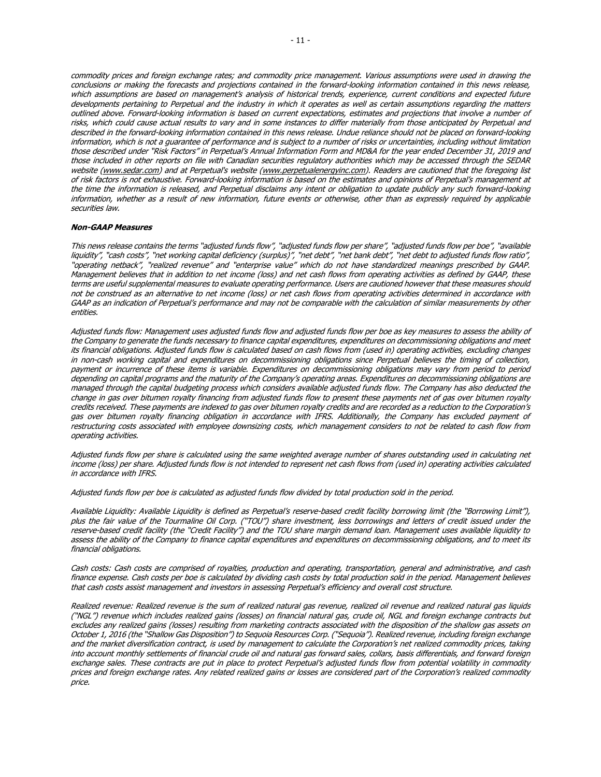commodity prices and foreign exchange rates; and commodity price management. Various assumptions were used in drawing the conclusions or making the forecasts and projections contained in the forward-looking information contained in this news release, which assumptions are based on management's analysis of historical trends, experience, current conditions and expected future developments pertaining to Perpetual and the industry in which it operates as well as certain assumptions regarding the matters outlined above. Forward-looking information is based on current expectations, estimates and projections that involve a number of risks, which could cause actual results to vary and in some instances to differ materially from those anticipated by Perpetual and described in the forward-looking information contained in this news release. Undue reliance should not be placed on forward-looking information, which is not a guarantee of performance and is subject to a number of risks or uncertainties, including without limitation those described under "Risk Factors" in Perpetual's Annual Information Form and MD&A for the year ended December 31, 2019 and those included in other reports on file with Canadian securities regulatory authorities which may be accessed through the SEDAR website [\(www.sedar.com\)](http://www.sedar.com/) and at Perpetual's website [\(www.perpetualenergyinc.com\)](http://www.perpetualenergyinc.com/). Readers are cautioned that the foregoing list of risk factors is not exhaustive. Forward-looking information is based on the estimates and opinions of Perpetual's management at the time the information is released, and Perpetual disclaims any intent or obligation to update publicly any such forward-looking information, whether as a result of new information, future events or otherwise, other than as expressly required by applicable securities law.

#### **Non-GAAP Measures**

This news release contains the terms "adjusted funds flow", "adjusted funds flow per share", "adjusted funds flow per boe", "available liquidity", "cash costs", "net working capital deficiency (surplus)", "net debt", "net bank debt", "net debt to adjusted funds flow ratio", "operating netback", "realized revenue" and "enterprise value" which do not have standardized meanings prescribed by GAAP. Management believes that in addition to net income (loss) and net cash flows from operating activities as defined by GAAP, these terms are useful supplemental measures to evaluate operating performance. Users are cautioned however that these measures should not be construed as an alternative to net income (loss) or net cash flows from operating activities determined in accordance with GAAP as an indication of Perpetual's performance and may not be comparable with the calculation of similar measurements by other entities.

Adjusted funds flow: Management uses adjusted funds flow and adjusted funds flow per boe as key measures to assess the ability of the Company to generate the funds necessary to finance capital expenditures, expenditures on decommissioning obligations and meet its financial obligations. Adjusted funds flow is calculated based on cash flows from (used in) operating activities, excluding changes in non-cash working capital and expenditures on decommissioning obligations since Perpetual believes the timing of collection, payment or incurrence of these items is variable. Expenditures on decommissioning obligations may vary from period to period depending on capital programs and the maturity of the Company's operating areas. Expenditures on decommissioning obligations are managed through the capital budgeting process which considers available adjusted funds flow. The Company has also deducted the change in gas over bitumen royalty financing from adjusted funds flow to present these payments net of gas over bitumen royalty credits received. These payments are indexed to gas over bitumen royalty credits and are recorded as a reduction to the Corporation's gas over bitumen royalty financing obligation in accordance with IFRS. Additionally, the Company has excluded payment of restructuring costs associated with employee downsizing costs, which management considers to not be related to cash flow from operating activities.

Adjusted funds flow per share is calculated using the same weighted average number of shares outstanding used in calculating net income (loss) per share. Adjusted funds flow is not intended to represent net cash flows from (used in) operating activities calculated in accordance with IFRS.

Adjusted funds flow per boe is calculated as adjusted funds flow divided by total production sold in the period.

Available Liquidity: Available Liquidity is defined as Perpetual's reserve-based credit facility borrowing limit (the "Borrowing Limit"), plus the fair value of the Tourmaline Oil Corp. ("TOU") share investment, less borrowings and letters of credit issued under the reserve-based credit facility (the "Credit Facility") and the TOU share margin demand loan. Management uses available liquidity to assess the ability of the Company to finance capital expenditures and expenditures on decommissioning obligations, and to meet its financial obligations.

Cash costs: Cash costs are comprised of royalties, production and operating, transportation, general and administrative, and cash finance expense. Cash costs per boe is calculated by dividing cash costs by total production sold in the period. Management believes that cash costs assist management and investors in assessing Perpetual's efficiency and overall cost structure.

Realized revenue: Realized revenue is the sum of realized natural gas revenue, realized oil revenue and realized natural gas liquids ("NGL") revenue which includes realized gains (losses) on financial natural gas, crude oil, NGL and foreign exchange contracts but excludes any realized gains (losses) resulting from marketing contracts associated with the disposition of the shallow gas assets on October 1, 2016 (the "Shallow Gas Disposition") to Sequoia Resources Corp. ("Sequoia"). Realized revenue, including foreign exchange and the market diversification contract, is used by management to calculate the Corporation's net realized commodity prices, taking into account monthly settlements of financial crude oil and natural gas forward sales, collars, basis differentials, and forward foreign exchange sales. These contracts are put in place to protect Perpetual's adjusted funds flow from potential volatility in commodity prices and foreign exchange rates. Any related realized gains or losses are considered part of the Corporation's realized commodity price.